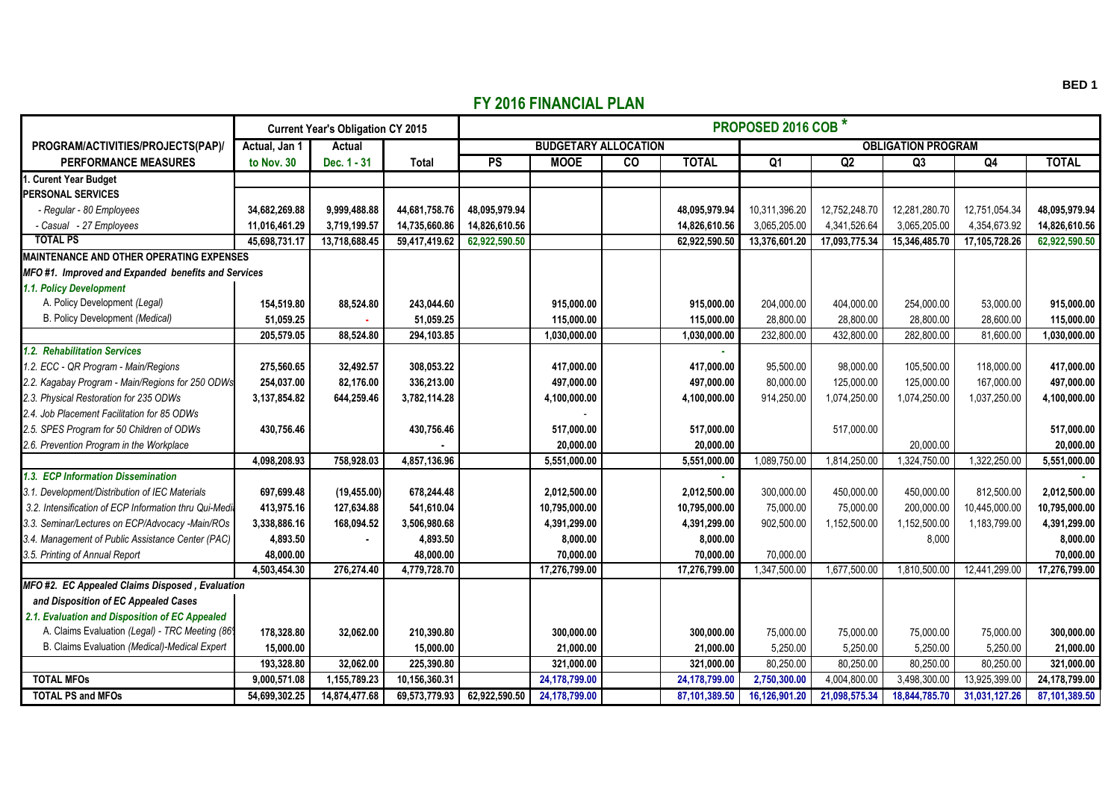## **FY 2016 FINANCIAL PLAN**

|                                                        | <b>Current Year's Obligation CY 2015</b> |               |               | <b>PROPOSED 2016 COB *</b>  |               |    |               |                           |               |               |               |               |  |
|--------------------------------------------------------|------------------------------------------|---------------|---------------|-----------------------------|---------------|----|---------------|---------------------------|---------------|---------------|---------------|---------------|--|
| PROGRAM/ACTIVITIES/PROJECTS(PAP)/                      | Actual, Jan 1                            | Actual        |               | <b>BUDGETARY ALLOCATION</b> |               |    |               | <b>OBLIGATION PROGRAM</b> |               |               |               |               |  |
| <b>PERFORMANCE MEASURES</b>                            | to Nov. 30                               | Dec. 1 - 31   | <b>Total</b>  | PS                          | <b>MOOE</b>   | CO | <b>TOTAL</b>  | $\overline{Q_1}$          | Q2            | Q3            | Q4            | <b>TOTAL</b>  |  |
| . Curent Year Budget                                   |                                          |               |               |                             |               |    |               |                           |               |               |               |               |  |
| <b>PERSONAL SERVICES</b>                               |                                          |               |               |                             |               |    |               |                           |               |               |               |               |  |
| - Regular - 80 Employees                               | 34,682,269.88                            | 9,999,488.88  | 44,681,758.76 | 48,095,979.94               |               |    | 48,095,979.94 | 10,311,396.20             | 12,752,248.70 | 12,281,280.70 | 12,751,054.34 | 48,095,979.94 |  |
| - Casual - 27 Employees                                | 11,016,461.29                            | 3,719,199.57  | 14,735,660.86 | 14,826,610.56               |               |    | 14,826,610.56 | 3,065,205.00              | 4,341,526.64  | 3,065,205.00  | 4,354,673.92  | 14,826,610.56 |  |
| <b>TOTAL PS</b>                                        | 45,698,731.17                            | 13,718,688.45 | 59,417,419.62 | 62,922,590.50               |               |    | 62,922,590.50 | 13,376,601.20             | 17,093,775.34 | 15,346,485.70 | 17,105,728.26 | 62,922,590.50 |  |
| <b>MAINTENANCE AND OTHER OPERATING EXPENSES</b>        |                                          |               |               |                             |               |    |               |                           |               |               |               |               |  |
| MFO#1. Improved and Expanded benefits and Services     |                                          |               |               |                             |               |    |               |                           |               |               |               |               |  |
| 1.1. Policy Development                                |                                          |               |               |                             |               |    |               |                           |               |               |               |               |  |
| A. Policy Development (Legal)                          | 154,519.80                               | 88,524.80     | 243,044.60    |                             | 915,000.00    |    | 915,000.00    | 204,000.00                | 404,000.00    | 254,000.00    | 53,000.00     | 915,000.00    |  |
| B. Policy Development (Medical)                        | 51,059.25                                |               | 51,059.25     |                             | 115,000.00    |    | 115,000.00    | 28,800.00                 | 28,800.00     | 28,800.00     | 28,600.00     | 115.000.00    |  |
|                                                        | 205,579.05                               | 88,524.80     | 294,103.85    |                             | 1,030,000.00  |    | 1,030,000.00  | 232,800.00                | 432,800.00    | 282,800.00    | 81,600.00     | 1,030,000.00  |  |
| 1.2. Rehabilitation Services                           |                                          |               |               |                             |               |    |               |                           |               |               |               |               |  |
| 1.2. ECC - QR Program - Main/Regions                   | 275,560.65                               | 32,492.57     | 308,053.22    |                             | 417.000.00    |    | 417,000.00    | 95,500.00                 | 98,000.00     | 105,500.00    | 118,000.00    | 417,000.00    |  |
| 2.2. Kagabay Program - Main/Regions for 250 ODWs       | 254,037.00                               | 82,176.00     | 336,213.00    |                             | 497,000.00    |    | 497,000.00    | 80,000.00                 | 125,000.00    | 125,000.00    | 167,000.00    | 497,000.00    |  |
| 2.3. Physical Restoration for 235 ODWs                 | 3,137,854.82                             | 644,259.46    | 3,782,114.28  |                             | 4,100,000.00  |    | 4,100,000.00  | 914,250.00                | 1,074,250.00  | 1.074.250.00  | 1,037,250.00  | 4,100,000.00  |  |
| 2.4. Job Placement Facilitation for 85 ODWs            |                                          |               |               |                             |               |    |               |                           |               |               |               |               |  |
| 2.5. SPES Program for 50 Children of ODWs              | 430.756.46                               |               | 430,756.46    |                             | 517.000.00    |    | 517.000.00    |                           | 517.000.00    |               |               | 517,000.00    |  |
| 2.6. Prevention Program in the Workplace               |                                          |               |               |                             | 20,000.00     |    | 20,000.00     |                           |               | 20,000.00     |               | 20,000.00     |  |
|                                                        | 4,098,208.93                             | 758,928.03    | 4,857,136.96  |                             | 5,551,000.00  |    | 5,551,000.00  | 1,089,750.00              | 1,814,250.00  | 1,324,750.00  | 1,322,250.00  | 5,551,000.00  |  |
| 1.3. ECP Information Dissemination                     |                                          |               |               |                             |               |    |               |                           |               |               |               |               |  |
| 3.1. Development/Distribution of IEC Materials         | 697,699.48                               | (19, 455.00)  | 678,244.48    |                             | 2,012,500.00  |    | 2,012,500.00  | 300,000.00                | 450,000.00    | 450,000.00    | 812,500.00    | 2,012,500.00  |  |
| 3.2. Intensification of ECP Information thru Qui-Media | 413,975.16                               | 127,634.88    | 541.610.04    |                             | 10.795.000.00 |    | 10,795,000.00 | 75.000.00                 | 75,000.00     | 200.000.00    | 10.445.000.00 | 10.795.000.00 |  |
| 3.3. Seminar/Lectures on ECP/Advocacy -Main/ROs        | 3,338,886.16                             | 168,094.52    | 3,506,980.68  |                             | 4,391,299.00  |    | 4,391,299.00  | 902,500.00                | 1,152,500.00  | 1,152,500.00  | 1,183,799.00  | 4,391,299.00  |  |
| 3.4. Management of Public Assistance Center (PAC)      | 4,893.50                                 |               | 4,893.50      |                             | 8,000.00      |    | 8,000.00      |                           |               | 8,000         |               | 8,000.00      |  |
| 3.5. Printing of Annual Report                         | 48,000.00                                |               | 48.000.00     |                             | 70,000.00     |    | 70,000.00     | 70,000.00                 |               |               |               | 70,000.00     |  |
|                                                        | 4,503,454.30                             | 276,274.40    | 4,779,728.70  |                             | 17,276,799.00 |    | 17,276,799.00 | 1,347,500.00              | 1,677,500.00  | 1,810,500.00  | 12,441,299.00 | 17,276,799.00 |  |
| MFO#2. EC Appealed Claims Disposed, Evaluation         |                                          |               |               |                             |               |    |               |                           |               |               |               |               |  |
| and Disposition of EC Appealed Cases                   |                                          |               |               |                             |               |    |               |                           |               |               |               |               |  |
| 2.1. Evaluation and Disposition of EC Appealed         |                                          |               |               |                             |               |    |               |                           |               |               |               |               |  |
| A. Claims Evaluation (Legal) - TRC Meeting (869        | 178.328.80                               | 32,062.00     | 210,390.80    |                             | 300.000.00    |    | 300.000.00    | 75,000.00                 | 75,000.00     | 75,000.00     | 75,000.00     | 300.000.00    |  |
| B. Claims Evaluation (Medical)-Medical Expert          | 15,000.00                                |               | 15,000.00     |                             | 21,000.00     |    | 21,000.00     | 5,250.00                  | 5,250.00      | 5,250.00      | 5,250.00      | 21,000.00     |  |
|                                                        | 193.328.80                               | 32.062.00     | 225.390.80    |                             | 321.000.00    |    | 321.000.00    | 80,250.00                 | 80.250.00     | 80,250.00     | 80.250.00     | 321,000.00    |  |
| <b>TOTAL MFOs</b>                                      | 9,000,571.08                             | 1,155,789.23  | 10.156.360.31 |                             | 24,178,799.00 |    | 24,178,799.00 | 2,750,300.00              | 4,004,800.00  | 3,498,300.00  | 13,925,399.00 | 24,178,799.00 |  |
| <b>TOTAL PS and MFOs</b>                               | 54,699,302.25                            | 14,874,477.68 | 69,573,779.93 | 62,922,590.50               | 24,178,799.00 |    | 87,101,389.50 | 16,126,901.20             | 21,098,575.34 | 18,844,785.70 | 31,031,127.26 | 87,101,389.50 |  |

**BED 1**